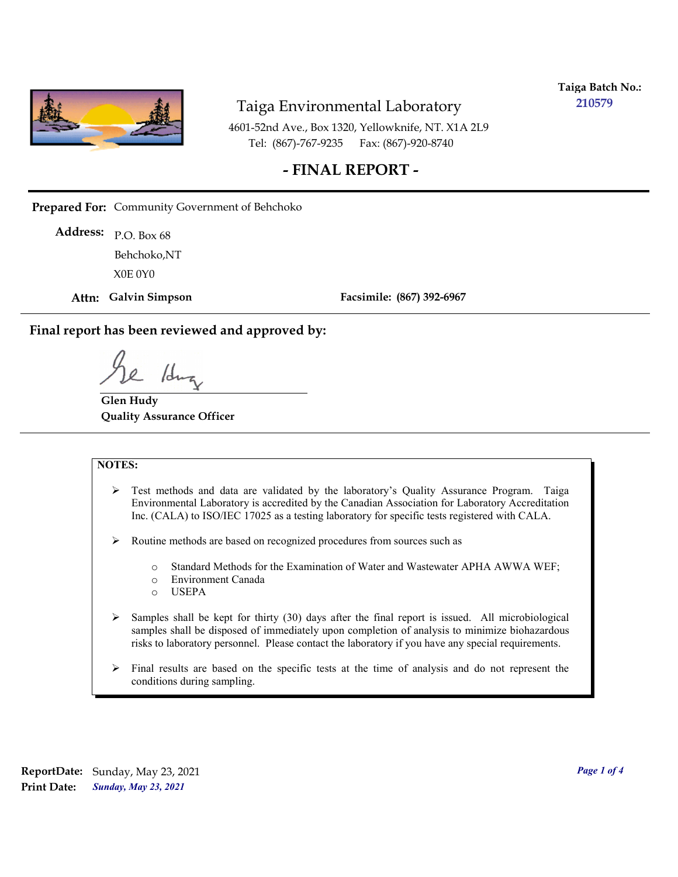

**Taiga Batch No.: 210579**

4601-52nd Ave., Box 1320, Yellowknife, NT. X1A 2L9 Tel: (867)-767-9235 Fax: (867)-920-8740

### **- FINAL REPORT -**

**Prepared For:** Community Government of Behchoko

P.O. Box 68 **Address:** X0E 0Y0 Behchoko,NT

**Attn: Galvin Simpson**

**Facsimile: (867) 392-6967**

**Final report has been reviewed and approved by:**

1dr

**Glen Hudy Quality Assurance Officer**

#### **NOTES:**

- $\triangleright$  Test methods and data are validated by the laboratory's Quality Assurance Program. Taiga Environmental Laboratory is accredited by the Canadian Association for Laboratory Accreditation Inc. (CALA) to ISO/IEC 17025 as a testing laboratory for specific tests registered with CALA.
- Routine methods are based on recognized procedures from sources such as
	- o Standard Methods for the Examination of Water and Wastewater APHA AWWA WEF;
	- o Environment Canada
	- o USEPA
- $\triangleright$  Samples shall be kept for thirty (30) days after the final report is issued. All microbiological samples shall be disposed of immediately upon completion of analysis to minimize biohazardous risks to laboratory personnel. Please contact the laboratory if you have any special requirements.
- $\triangleright$  Final results are based on the specific tests at the time of analysis and do not represent the conditions during sampling.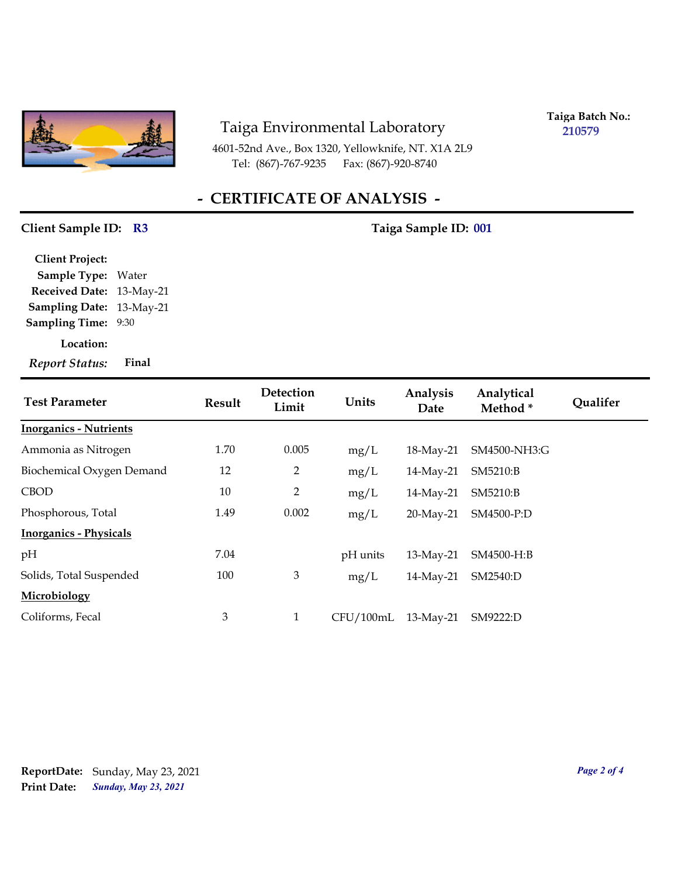

4601-52nd Ave., Box 1320, Yellowknife, NT. X1A 2L9 Tel: (867)-767-9235

**Taiga Batch No.: 210579**

## **- CERTIFICATE OF ANALYSIS -**

#### Client Sample ID: R3 Taiga Sample ID: 001

| <b>Client Project:</b> |           |
|------------------------|-----------|
| <b>Sample Type:</b>    | Water     |
| <b>Received Date:</b>  | 13-May-21 |
| <b>Sampling Date:</b>  | 13-May-21 |
| <b>Sampling Time:</b>  | 9:30      |
| Location:              |           |
| <b>Report Status:</b>  | Final     |

| <b>Test Parameter</b>         | Result         | Detection<br>Limit | Units     | Analysis<br>Date | Analytical<br>Method <sup>*</sup> | <b>Qualifer</b> |
|-------------------------------|----------------|--------------------|-----------|------------------|-----------------------------------|-----------------|
| <b>Inorganics - Nutrients</b> |                |                    |           |                  |                                   |                 |
| Ammonia as Nitrogen           | 1.70           | 0.005              | mg/L      | 18-May-21        | SM4500-NH3:G                      |                 |
| Biochemical Oxygen Demand     | 12             | $\overline{2}$     | mg/L      | 14-May-21        | SM5210:B                          |                 |
| <b>CBOD</b>                   | 10             | $\overline{2}$     | mg/L      | 14-May-21        | SM5210:B                          |                 |
| Phosphorous, Total            | 1.49           | 0.002              | mg/L      | 20-May-21        | SM4500-P:D                        |                 |
| <b>Inorganics - Physicals</b> |                |                    |           |                  |                                   |                 |
| pH                            | 7.04           |                    | pH units  | 13-May-21        | SM4500-H:B                        |                 |
| Solids, Total Suspended       | 100            | $\mathfrak{Z}$     | mg/L      | 14-May-21        | SM2540:D                          |                 |
| Microbiology                  |                |                    |           |                  |                                   |                 |
| Coliforms, Fecal              | $\mathfrak{Z}$ | $\mathbf{1}$       | CFU/100mL | $13$ -May-21     | SM9222:D                          |                 |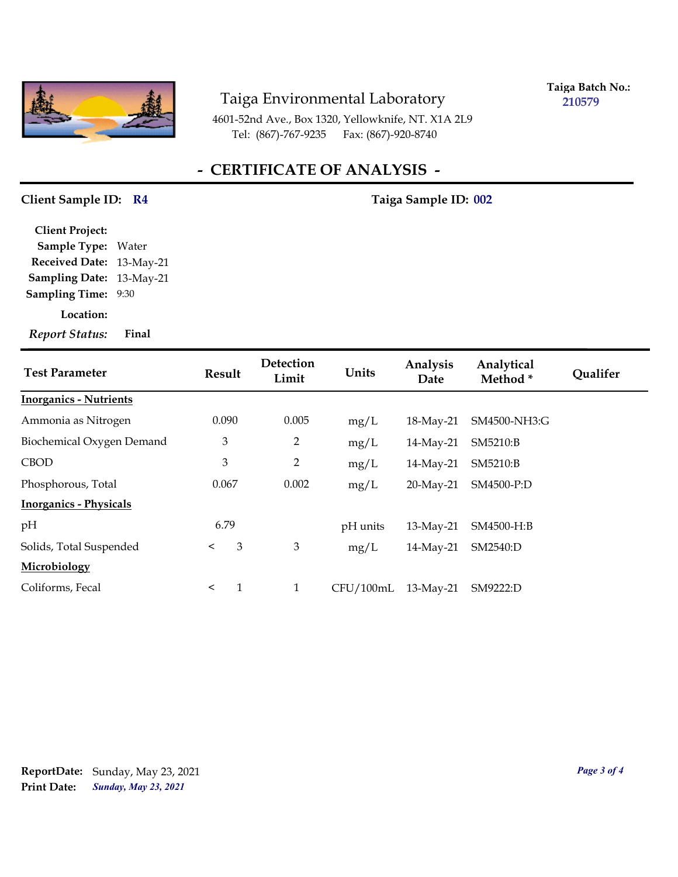

**Taiga Batch No.: 210579**

4601-52nd Ave., Box 1320, Yellowknife, NT. X1A 2L9 Tel: (867)-767-9235 Fax: (867)-920-8740

## **- CERTIFICATE OF ANALYSIS -**

#### Client Sample ID: R4 Taiga Sample ID: 002

| <b>Client Project:</b>   |       |
|--------------------------|-------|
| <b>Sample Type:</b>      | Water |
| Received Date: 13-May-21 |       |
| Sampling Date: 13-May-21 |       |
| <b>Sampling Time:</b>    | 9:30  |
| Location:                |       |

*Report Status:* **Final**

| <b>Test Parameter</b>         | Result       | Detection<br>Limit | Units     | Analysis<br>Date | Analytical<br>Method* | <b>Oualifer</b> |
|-------------------------------|--------------|--------------------|-----------|------------------|-----------------------|-----------------|
| <b>Inorganics - Nutrients</b> |              |                    |           |                  |                       |                 |
| Ammonia as Nitrogen           | 0.090        | 0.005              | mg/L      | 18-May-21        | SM4500-NH3:G          |                 |
| Biochemical Oxygen Demand     | 3            | $\overline{2}$     | mg/L      | 14-May-21        | SM5210:B              |                 |
| <b>CBOD</b>                   | 3            | $\overline{2}$     | mg/L      | 14-May-21        | SM5210:B              |                 |
| Phosphorous, Total            | 0.067        | 0.002              | mg/L      | 20-May-21        | SM4500-P:D            |                 |
| <b>Inorganics - Physicals</b> |              |                    |           |                  |                       |                 |
| pH                            | 6.79         |                    | pH units  | 13-May-21        | SM4500-H:B            |                 |
| Solids, Total Suspended       | 3<br>$\prec$ | 3                  | mg/L      | 14-May-21        | SM2540:D              |                 |
| Microbiology                  |              |                    |           |                  |                       |                 |
| Coliforms, Fecal              | $\prec$      | $\mathbf{1}$       | CFU/100mL | $13$ -May-21     | SM9222:D              |                 |